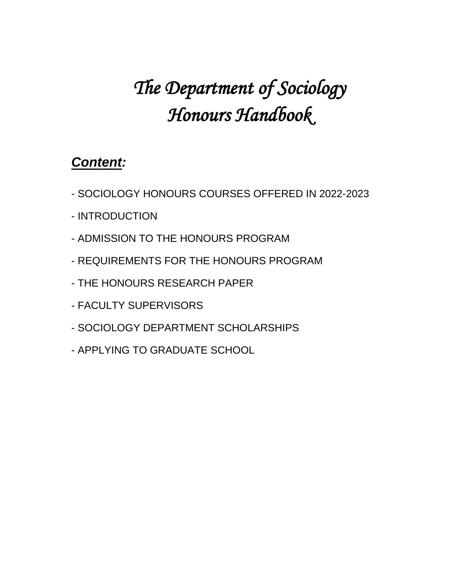# *The Department of Sociology Honours Handbook*

# *Content:*

- SOCIOLOGY HONOURS COURSES OFFERED IN 2022-2023
- INTRODUCTION
- ADMISSION TO THE HONOURS PROGRAM
- REQUIREMENTS FOR THE HONOURS PROGRAM
- THE HONOURS RESEARCH PAPER
- FACULTY SUPERVISORS
- SOCIOLOGY DEPARTMENT SCHOLARSHIPS
- APPLYING TO GRADUATE SCHOOL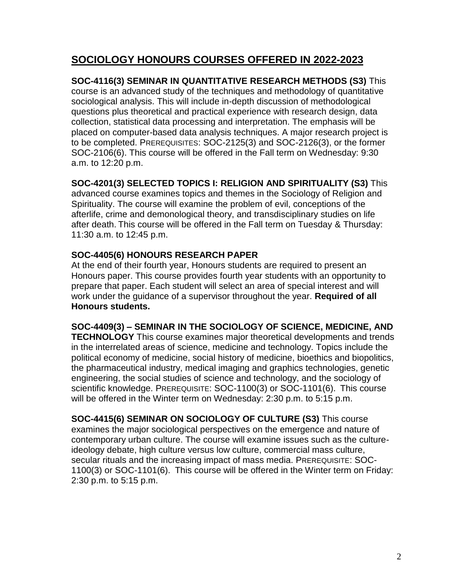#### **SOCIOLOGY HONOURS COURSES OFFERED IN 2022-2023**

**SOC-4116(3) SEMINAR IN QUANTITATIVE RESEARCH METHODS (S3)** This course is an advanced study of the techniques and methodology of quantitative sociological analysis. This will include in-depth discussion of methodological questions plus theoretical and practical experience with research design, data collection, statistical data processing and interpretation. The emphasis will be placed on computer-based data analysis techniques. A major research project is to be completed. PREREQUISITES: SOC-2125(3) and SOC-2126(3), or the former SOC-2106(6). This course will be offered in the Fall term on Wednesday: 9:30 a.m. to 12:20 p.m.

#### **SOC-4201(3) SELECTED TOPICS I: RELIGION AND SPIRITUALITY (S3)** This

advanced course examines topics and themes in the Sociology of Religion and Spirituality. The course will examine the problem of evil, conceptions of the afterlife, crime and demonological theory, and transdisciplinary studies on life after death. This course will be offered in the Fall term on Tuesday & Thursday: 11:30 a.m. to 12:45 p.m.

#### **SOC-4405(6) HONOURS RESEARCH PAPER**

At the end of their fourth year, Honours students are required to present an Honours paper. This course provides fourth year students with an opportunity to prepare that paper. Each student will select an area of special interest and will work under the guidance of a supervisor throughout the year. **Required of all Honours students.**

**SOC-4409(3) – SEMINAR IN THE SOCIOLOGY OF SCIENCE, MEDICINE, AND** 

**TECHNOLOGY** This course examines major theoretical developments and trends in the interrelated areas of science, medicine and technology. Topics include the political economy of medicine, social history of medicine, bioethics and biopolitics, the pharmaceutical industry, medical imaging and graphics technologies, genetic engineering, the social studies of science and technology, and the sociology of scientific knowledge. PREREQUISITE: SOC-1100(3) or SOC-1101(6). This course will be offered in the Winter term on Wednesday: 2:30 p.m. to 5:15 p.m.

**SOC-4415(6) SEMINAR ON SOCIOLOGY OF CULTURE (S3)** This course examines the major sociological perspectives on the emergence and nature of contemporary urban culture. The course will examine issues such as the cultureideology debate, high culture versus low culture, commercial mass culture, secular rituals and the increasing impact of mass media. PREREQUISITE: SOC-1100(3) or SOC-1101(6). This course will be offered in the Winter term on Friday: 2:30 p.m. to 5:15 p.m.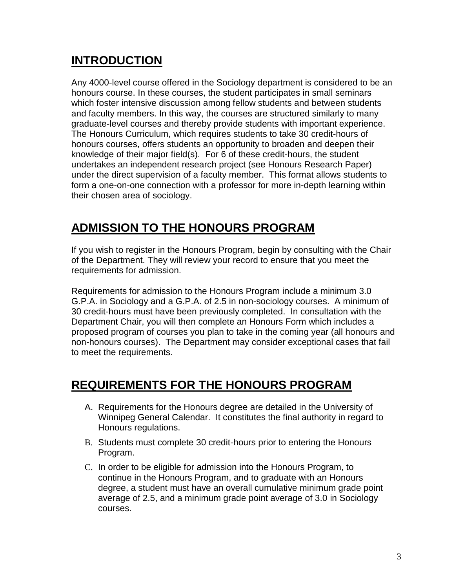# **INTRODUCTION**

Any 4000-level course offered in the Sociology department is considered to be an honours course. In these courses, the student participates in small seminars which foster intensive discussion among fellow students and between students and faculty members. In this way, the courses are structured similarly to many graduate-level courses and thereby provide students with important experience. The Honours Curriculum, which requires students to take 30 credit-hours of honours courses, offers students an opportunity to broaden and deepen their knowledge of their major field(s). For 6 of these credit-hours, the student undertakes an independent research project (see Honours Research Paper) under the direct supervision of a faculty member. This format allows students to form a one-on-one connection with a professor for more in-depth learning within their chosen area of sociology.

# **ADMISSION TO THE HONOURS PROGRAM**

If you wish to register in the Honours Program, begin by consulting with the Chair of the Department. They will review your record to ensure that you meet the requirements for admission.

Requirements for admission to the Honours Program include a minimum 3.0 G.P.A. in Sociology and a G.P.A. of 2.5 in non-sociology courses. A minimum of 30 credit-hours must have been previously completed. In consultation with the Department Chair, you will then complete an Honours Form which includes a proposed program of courses you plan to take in the coming year (all honours and non-honours courses). The Department may consider exceptional cases that fail to meet the requirements.

# **REQUIREMENTS FOR THE HONOURS PROGRAM**

- A. Requirements for the Honours degree are detailed in the University of Winnipeg General Calendar. It constitutes the final authority in regard to Honours regulations.
- B. Students must complete 30 credit-hours prior to entering the Honours Program.
- C. In order to be eligible for admission into the Honours Program, to continue in the Honours Program, and to graduate with an Honours degree, a student must have an overall cumulative minimum grade point average of 2.5, and a minimum grade point average of 3.0 in Sociology courses.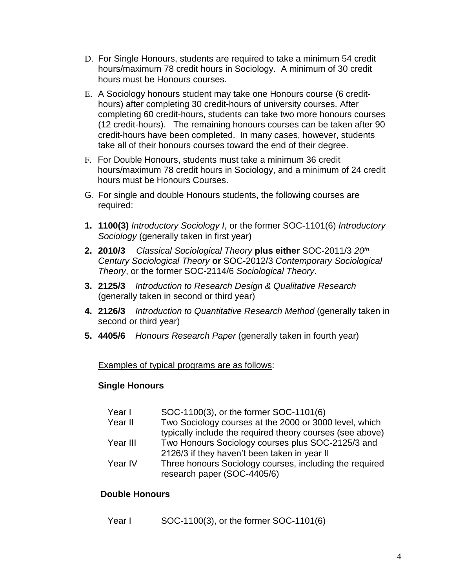- D. For Single Honours, students are required to take a minimum 54 credit hours/maximum 78 credit hours in Sociology. A minimum of 30 credit hours must be Honours courses.
- E. A Sociology honours student may take one Honours course (6 credithours) after completing 30 credit-hours of university courses. After completing 60 credit-hours, students can take two more honours courses (12 credit-hours). The remaining honours courses can be taken after 90 credit-hours have been completed. In many cases, however, students take all of their honours courses toward the end of their degree.
- F. For Double Honours, students must take a minimum 36 credit hours/maximum 78 credit hours in Sociology, and a minimum of 24 credit hours must be Honours Courses.
- G. For single and double Honours students, the following courses are required:
- **1. 1100(3)** *Introductory Sociology I*, or the former SOC-1101(6) *Introductory Sociology* (generally taken in first year)
- **2. 2010/3** *Classical Sociological Theory* **plus either** SOC-2011/3 *20th Century Sociological Theory* **or** SOC-2012/3 *Contemporary Sociological Theory*, or the former SOC-2114/6 *Sociological Theory*.
- **3. 2125/3** *Introduction to Research Design & Qualitative Research* (generally taken in second or third year)
- **4. 2126/3** *Introduction to Quantitative Research Method* (generally taken in second or third year)
- **5. 4405/6** *Honours Research Paper* (generally taken in fourth year)

Examples of typical programs are as follows:

#### **Single Honours**

| Year I   | SOC-1100(3), or the former SOC-1101(6)                    |
|----------|-----------------------------------------------------------|
| Year II  | Two Sociology courses at the 2000 or 3000 level, which    |
|          | typically include the required theory courses (see above) |
| Year III | Two Honours Sociology courses plus SOC-2125/3 and         |
|          | 2126/3 if they haven't been taken in year II              |
| Year IV  | Three honours Sociology courses, including the required   |
|          | research paper (SOC-4405/6)                               |

#### **Double Honours**

Year I SOC-1100(3), or the former SOC-1101(6)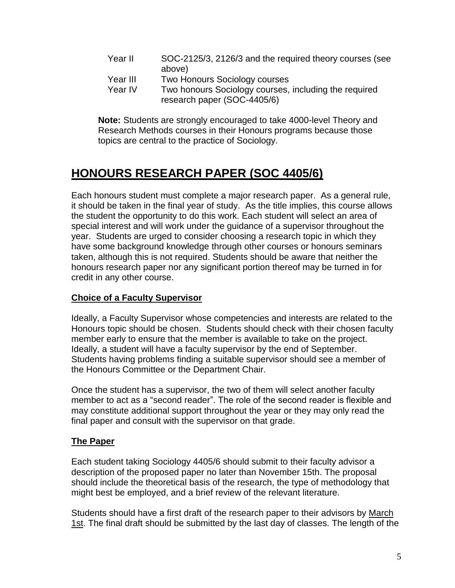- Year II SOC-2125/3, 2126/3 and the required theory courses (see above)
- Year III Two Honours Sociology courses
- Year IV Two honours Sociology courses, including the required research paper (SOC-4405/6)

**Note:** Students are strongly encouraged to take 4000-level Theory and Research Methods courses in their Honours programs because those topics are central to the practice of Sociology.

# **HONOURS RESEARCH PAPER (SOC 4405/6)**

Each honours student must complete a major research paper. As a general rule, it should be taken in the final year of study. As the title implies, this course allows the student the opportunity to do this work. Each student will select an area of special interest and will work under the guidance of a supervisor throughout the year. Students are urged to consider choosing a research topic in which they have some background knowledge through other courses or honours seminars taken, although this is not required. Students should be aware that neither the honours research paper nor any significant portion thereof may be turned in for credit in any other course.

#### **Choice of a Faculty Supervisor**

Ideally, a Faculty Supervisor whose competencies and interests are related to the Honours topic should be chosen. Students should check with their chosen faculty member early to ensure that the member is available to take on the project. Ideally, a student will have a faculty supervisor by the end of September. Students having problems finding a suitable supervisor should see a member of the Honours Committee or the Department Chair.

Once the student has a supervisor, the two of them will select another faculty member to act as a "second reader". The role of the second reader is flexible and may constitute additional support throughout the year or they may only read the final paper and consult with the supervisor on that grade.

#### **The Paper**

Each student taking Sociology 4405/6 should submit to their faculty advisor a description of the proposed paper no later than November 15th. The proposal should include the theoretical basis of the research, the type of methodology that might best be employed, and a brief review of the relevant literature.

Students should have a first draft of the research paper to their advisors by March 1st. The final draft should be submitted by the last day of classes. The length of the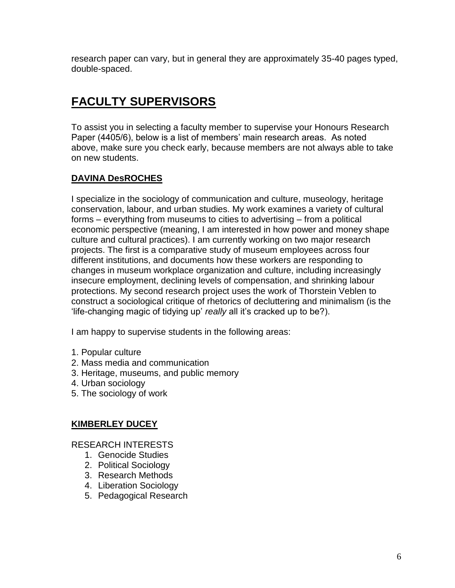research paper can vary, but in general they are approximately 35-40 pages typed, double-spaced.

# **FACULTY SUPERVISORS**

To assist you in selecting a faculty member to supervise your Honours Research Paper (4405/6), below is a list of members' main research areas. As noted above, make sure you check early, because members are not always able to take on new students.

#### **DAVINA DesROCHES**

I specialize in the sociology of communication and culture, museology, heritage conservation, labour, and urban studies. My work examines a variety of cultural forms – everything from museums to cities to advertising – from a political economic perspective (meaning, I am interested in how power and money shape culture and cultural practices). I am currently working on two major research projects. The first is a comparative study of museum employees across four different institutions, and documents how these workers are responding to changes in museum workplace organization and culture, including increasingly insecure employment, declining levels of compensation, and shrinking labour protections. My second research project uses the work of Thorstein Veblen to construct a sociological critique of rhetorics of decluttering and minimalism (is the 'life-changing magic of tidying up' *really* all it's cracked up to be?).

I am happy to supervise students in the following areas:

- 1. Popular culture
- 2. Mass media and communication
- 3. Heritage, museums, and public memory
- 4. Urban sociology
- 5. The sociology of work

#### **KIMBERLEY DUCEY**

- 1. Genocide Studies
- 2. Political Sociology
- 3. Research Methods
- 4. Liberation Sociology
- 5. Pedagogical Research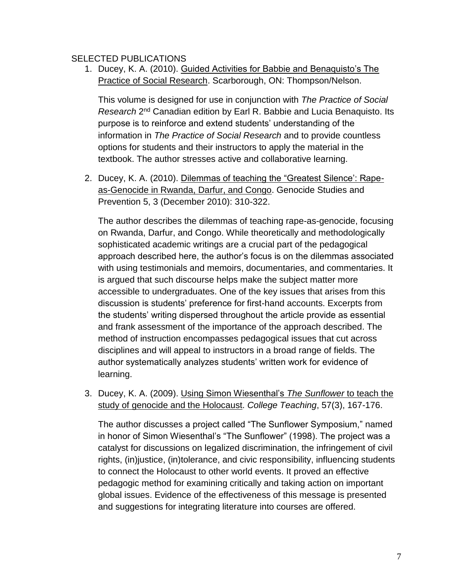#### SELECTED PUBLICATIONS

1. Ducey, K. A. (2010). Guided Activities for Babbie and Benaquisto's The **Practice of Social Research. Scarborough, ON: Thompson/Nelson.** 

This volume is designed for use in conjunction with *The Practice of Social*  Research 2<sup>nd</sup> Canadian edition by Earl R. Babbie and Lucia Benaquisto. Its purpose is to reinforce and extend students' understanding of the information in *The Practice of Social Research* and to provide countless options for students and their instructors to apply the material in the textbook. The author stresses active and collaborative learning.

2. Ducey, K. A. (2010). Dilemmas of teaching the "Greatest Silence': Rapeas-Genocide in Rwanda, Darfur, and Congo. Genocide Studies and Prevention 5, 3 (December 2010): 310-322.

The author describes the dilemmas of teaching rape-as-genocide, focusing on Rwanda, Darfur, and Congo. While theoretically and methodologically sophisticated academic writings are a crucial part of the pedagogical approach described here, the author's focus is on the dilemmas associated with using testimonials and memoirs, documentaries, and commentaries. It is argued that such discourse helps make the subject matter more accessible to undergraduates. One of the key issues that arises from this discussion is students' preference for first-hand accounts. Excerpts from the students' writing dispersed throughout the article provide as essential and frank assessment of the importance of the approach described. The method of instruction encompasses pedagogical issues that cut across disciplines and will appeal to instructors in a broad range of fields. The author systematically analyzes students' written work for evidence of learning.

3. Ducey, K. A. (2009). Using Simon Wiesenthal's *The Sunflower* to teach the study of genocide and the Holocaust. *College Teaching*, 57(3), 167-176.

The author discusses a project called "The Sunflower Symposium," named in honor of Simon Wiesenthal's "The Sunflower" (1998). The project was a catalyst for discussions on legalized discrimination, the infringement of civil rights, (in)justice, (in)tolerance, and civic responsibility, influencing students to connect the Holocaust to other world events. It proved an effective pedagogic method for examining critically and taking action on important global issues. Evidence of the effectiveness of this message is presented and suggestions for integrating literature into courses are offered.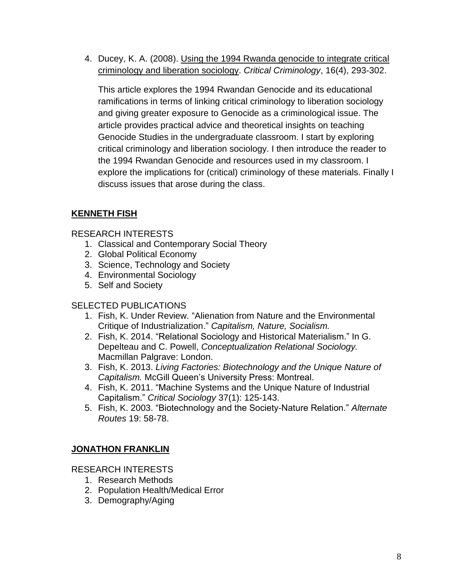4. Ducey, K. A. (2008). Using the 1994 Rwanda genocide to integrate critical criminology and liberation sociology. *Critical Criminology*, 16(4), 293-302.

This article explores the 1994 Rwandan Genocide and its educational ramifications in terms of linking critical criminology to liberation sociology and giving greater exposure to Genocide as a criminological issue. The article provides practical advice and theoretical insights on teaching Genocide Studies in the undergraduate classroom. I start by exploring critical criminology and liberation sociology. I then introduce the reader to the 1994 Rwandan Genocide and resources used in my classroom. I explore the implications for (critical) criminology of these materials. Finally I discuss issues that arose during the class.

#### **KENNETH FISH**

#### RESEARCH INTERESTS

- 1. Classical and Contemporary Social Theory
- 2. Global Political Economy
- 3. Science, Technology and Society
- 4. Environmental Sociology
- 5. Self and Society

#### SELECTED PUBLICATIONS

- 1. Fish, K. Under Review. "Alienation from Nature and the Environmental Critique of Industrialization." *Capitalism, Nature, Socialism.*
- 2. Fish, K. 2014. "Relational Sociology and Historical Materialism." In G. Depelteau and C. Powell, *Conceptualization Relational Sociology.* Macmillan Palgrave: London.
- 3. Fish, K. 2013. *Living Factories: Biotechnology and the Unique Nature of Capitalism.* McGill Queen's University Press: Montreal.
- 4. Fish, K. 2011. "Machine Systems and the Unique Nature of Industrial Capitalism." *Critical Sociology* 37(1): 125-143.
- 5. Fish, K. 2003. "Biotechnology and the Society-Nature Relation." *Alternate Routes* 19: 58-78.

#### **JONATHON FRANKLIN**

- 1. Research Methods
- 2. Population Health/Medical Error
- 3. Demography/Aging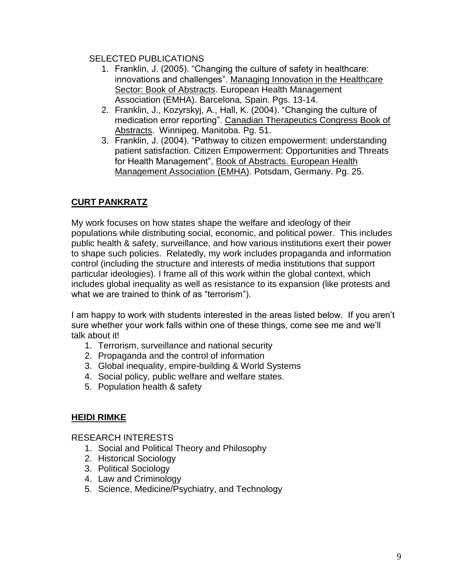#### SELECTED PUBLICATIONS

- 1. Franklin, J. (2005). "Changing the culture of safety in healthcare: innovations and challenges". Managing Innovation in the Healthcare Sector: Book of Abstracts. European Health Management Association (EMHA). Barcelona, Spain. Pgs. 13-14.
- 2. Franklin, J., Kozyrskyj, A., Hall, K. (2004). "Changing the culture of medication error reporting". Canadian Therapeutics Congress Book of Abstracts. Winnipeg, Manitoba. Pg. 51.
- 3. Franklin, J. (2004). "Pathway to citizen empowerment: understanding patient satisfaction. Citizen Empowerment: Opportunities and Threats for Health Management", Book of Abstracts. European Health Management Association (EMHA). Potsdam, Germany. Pg. 25.

#### **CURT PANKRATZ**

My work focuses on how states shape the welfare and ideology of their populations while distributing social, economic, and political power. This includes public health & safety, surveillance, and how various institutions exert their power to shape such policies. Relatedly, my work includes propaganda and information control (including the structure and interests of media institutions that support particular ideologies). I frame all of this work within the global context, which includes global inequality as well as resistance to its expansion (like protests and what we are trained to think of as "terrorism").

I am happy to work with students interested in the areas listed below. If you aren't sure whether your work falls within one of these things, come see me and we'll talk about it!

- 1. Terrorism, surveillance and national security
- 2. Propaganda and the control of information
- 3. Global inequality, empire-building & World Systems
- 4. Social policy, public welfare and welfare states.
- 5. Population health & safety

#### **HEIDI RIMKE**

- 1. Social and Political Theory and Philosophy
- 2. Historical Sociology
- 3. Political Sociology
- 4. Law and Criminology
- 5. Science, Medicine/Psychiatry, and Technology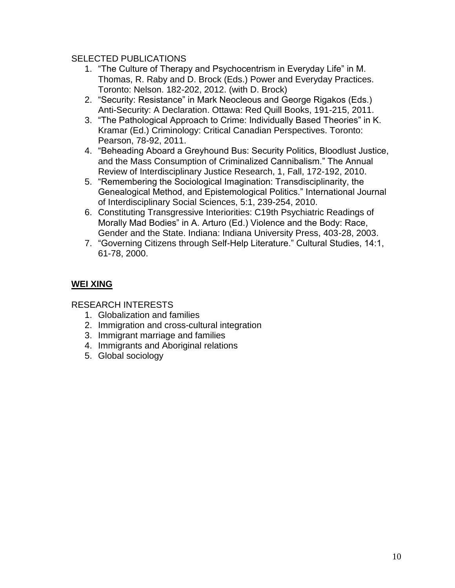#### SELECTED PUBLICATIONS

- 1. "The Culture of Therapy and Psychocentrism in Everyday Life" in M. Thomas, R. Raby and D. Brock (Eds.) Power and Everyday Practices. Toronto: Nelson. 182-202, 2012. (with D. Brock)
- 2. "Security: Resistance" in Mark Neocleous and George Rigakos (Eds.) Anti-Security: A Declaration. Ottawa: Red Quill Books, 191-215, 2011.
- 3. "The Pathological Approach to Crime: Individually Based Theories" in K. Kramar (Ed.) Criminology: Critical Canadian Perspectives. Toronto: Pearson, 78-92, 2011.
- 4. "Beheading Aboard a Greyhound Bus: Security Politics, Bloodlust Justice, and the Mass Consumption of Criminalized Cannibalism." The Annual Review of Interdisciplinary Justice Research, 1, Fall, 172-192, 2010.
- 5. "Remembering the Sociological Imagination: Transdisciplinarity, the Genealogical Method, and Epistemological Politics." International Journal of Interdisciplinary Social Sciences, 5:1, 239-254, 2010.
- 6. Constituting Transgressive Interiorities: C19th Psychiatric Readings of Morally Mad Bodies" in A. Arturo (Ed.) Violence and the Body: Race, Gender and the State. Indiana: Indiana University Press, 403-28, 2003.
- 7. "Governing Citizens through Self-Help Literature." Cultural Studies, 14:1, 61-78, 2000.

#### **WEI XING**

- 1. Globalization and families
- 2. Immigration and cross-cultural integration
- 3. Immigrant marriage and families
- 4. Immigrants and Aboriginal relations
- 5. Global sociology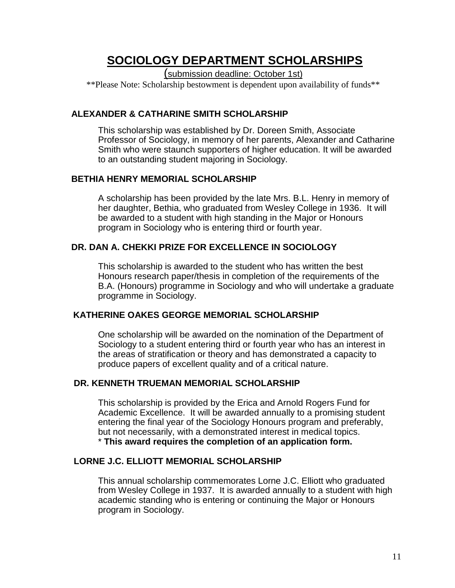# **SOCIOLOGY DEPARTMENT SCHOLARSHIPS**

(submission deadline: October 1st)

\*\*Please Note: Scholarship bestowment is dependent upon availability of funds\*\*

#### **ALEXANDER & CATHARINE SMITH SCHOLARSHIP**

This scholarship was established by Dr. Doreen Smith, Associate Professor of Sociology, in memory of her parents, Alexander and Catharine Smith who were staunch supporters of higher education. It will be awarded to an outstanding student majoring in Sociology.

#### **BETHIA HENRY MEMORIAL SCHOLARSHIP**

A scholarship has been provided by the late Mrs. B.L. Henry in memory of her daughter, Bethia, who graduated from Wesley College in 1936. It will be awarded to a student with high standing in the Major or Honours program in Sociology who is entering third or fourth year.

#### **DR. DAN A. CHEKKI PRIZE FOR EXCELLENCE IN SOCIOLOGY**

This scholarship is awarded to the student who has written the best Honours research paper/thesis in completion of the requirements of the B.A. (Honours) programme in Sociology and who will undertake a graduate programme in Sociology.

#### **KATHERINE OAKES GEORGE MEMORIAL SCHOLARSHIP**

One scholarship will be awarded on the nomination of the Department of Sociology to a student entering third or fourth year who has an interest in the areas of stratification or theory and has demonstrated a capacity to produce papers of excellent quality and of a critical nature.

#### **DR. KENNETH TRUEMAN MEMORIAL SCHOLARSHIP**

This scholarship is provided by the Erica and Arnold Rogers Fund for Academic Excellence. It will be awarded annually to a promising student entering the final year of the Sociology Honours program and preferably, but not necessarily, with a demonstrated interest in medical topics. \* **This award requires the completion of an application form.**

#### **LORNE J.C. ELLIOTT MEMORIAL SCHOLARSHIP**

This annual scholarship commemorates Lorne J.C. Elliott who graduated from Wesley College in 1937. It is awarded annually to a student with high academic standing who is entering or continuing the Major or Honours program in Sociology.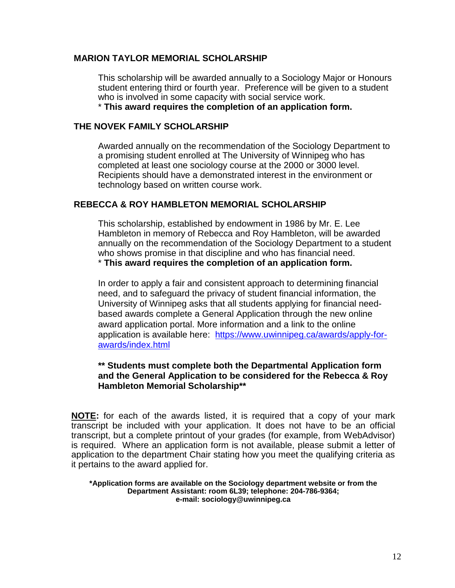#### **MARION TAYLOR MEMORIAL SCHOLARSHIP**

This scholarship will be awarded annually to a Sociology Major or Honours student entering third or fourth year. Preference will be given to a student who is involved in some capacity with social service work. \* **This award requires the completion of an application form.**

#### **THE NOVEK FAMILY SCHOLARSHIP**

Awarded annually on the recommendation of the Sociology Department to a promising student enrolled at The University of Winnipeg who has completed at least one sociology course at the 2000 or 3000 level. Recipients should have a demonstrated interest in the environment or technology based on written course work.

#### **REBECCA & ROY HAMBLETON MEMORIAL SCHOLARSHIP**

This scholarship, established by endowment in 1986 by Mr. E. Lee Hambleton in memory of Rebecca and Roy Hambleton, will be awarded annually on the recommendation of the Sociology Department to a student who shows promise in that discipline and who has financial need. \* **This award requires the completion of an application form.**

In order to apply a fair and consistent approach to determining financial need, and to safeguard the privacy of student financial information, the University of Winnipeg asks that all students applying for financial needbased awards complete a General Application through the new online award application portal. More information and a link to the online application is available here: [https://www.uwinnipeg.ca/awards/apply-for](https://www.uwinnipeg.ca/awards/apply-for-awards/index.html)[awards/index.html](https://www.uwinnipeg.ca/awards/apply-for-awards/index.html)

#### **\*\* Students must complete both the Departmental Application form and the General Application to be considered for the Rebecca & Roy Hambleton Memorial Scholarship\*\***

**NOTE:** for each of the awards listed, it is required that a copy of your mark transcript be included with your application. It does not have to be an official transcript, but a complete printout of your grades (for example, from WebAdvisor) is required. Where an application form is not available, please submit a letter of application to the department Chair stating how you meet the qualifying criteria as it pertains to the award applied for.

**\*Application forms are available on the Sociology department website or from the Department Assistant: room 6L39; telephone: 204-786-9364; e-mail: sociology@uwinnipeg.ca**